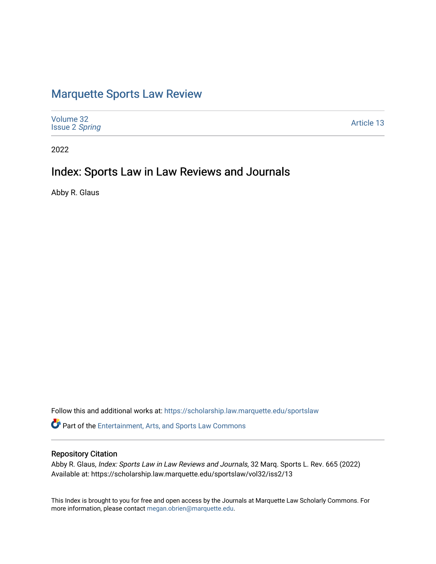# [Marquette Sports Law Review](https://scholarship.law.marquette.edu/sportslaw)

| Volume 32<br><b>Issue 2 Spring</b> | Article 13 |
|------------------------------------|------------|
|------------------------------------|------------|

2022

## Index: Sports Law in Law Reviews and Journals

Abby R. Glaus

Follow this and additional works at: [https://scholarship.law.marquette.edu/sportslaw](https://scholarship.law.marquette.edu/sportslaw?utm_source=scholarship.law.marquette.edu%2Fsportslaw%2Fvol32%2Fiss2%2F13&utm_medium=PDF&utm_campaign=PDFCoverPages) 

**P** Part of the [Entertainment, Arts, and Sports Law Commons](https://network.bepress.com/hgg/discipline/893?utm_source=scholarship.law.marquette.edu%2Fsportslaw%2Fvol32%2Fiss2%2F13&utm_medium=PDF&utm_campaign=PDFCoverPages)

### Repository Citation

Abby R. Glaus, Index: Sports Law in Law Reviews and Journals, 32 Marq. Sports L. Rev. 665 (2022) Available at: https://scholarship.law.marquette.edu/sportslaw/vol32/iss2/13

This Index is brought to you for free and open access by the Journals at Marquette Law Scholarly Commons. For more information, please contact [megan.obrien@marquette.edu](mailto:megan.obrien@marquette.edu).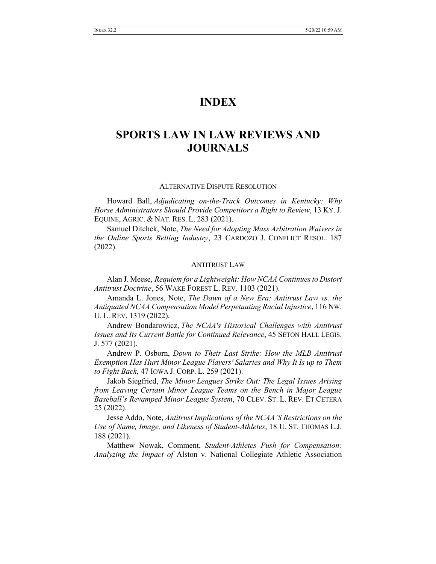## **INDEX**

## **SPORTS LAW IN LAW REVIEWS AND JOURNALS**

#### ALTERNATIVE DISPUTE RESOLUTION

Howard Ball, *Adjudicating on-the-Track Outcomes in Kentucky: Why Horse Administrators Should Provide Competitors a Right to Review*, 13 KY.J. EQUINE, AGRIC. & NAT. RES. L. 283 (2021).

Samuel Ditchek, Note, *The Need for Adopting Mass Arbitration Waivers in the Online Sports Betting Industry*, 23 CARDOZO J. CONFLICT RESOL. 187 (2022).

#### ANTITRUST LAW

Alan J. Meese, *Requiem for a Lightweight: How NCAA Continuesto Distort Antitrust Doctrine*, 56 WAKE FOREST L. REV. 1103 (2021).

Amanda L. Jones, Note, *The Dawn of a New Era: Antitrust Law vs. the Antiquated NCAA Compensation Model Perpetuating Racial Injustice*, 116 NW. U. L. REV. 1319 (2022).

Andrew Bondarowicz, *The NCAA's Historical Challenges with Antitrust Issues and Its Current Battle for Continued Relevance*, 45 SETON HALL LEGIS. J. 577 (2021).

Andrew P. Osborn, *Down to Their Last Strike: How the MLB Antitrust Exemption Has Hurt Minor League Players' Salaries and Why It Is up to Them to Fight Back*, 47 IOWA J. CORP. L. 259 (2021).

Jakob Siegfried, *The Minor Leagues Strike Out: The Legal Issues Arising from Leaving Certain Minor League Teams on the Bench in Major League Baseball's Revamped Minor League System*, 70 CLEV. ST. L. REV. ET CETERA 25 (2022).

Jesse Addo, Note, *Antitrust Implications of the NCAA'S Restrictions on the Use of Name, Image, and Likeness of Student-Athletes*, 18 U. ST. THOMAS L.J. 188 (2021).

Matthew Nowak, Comment, *Student-Athletes Push for Compensation: Analyzing the Impact of* Alston v. National Collegiate Athletic Association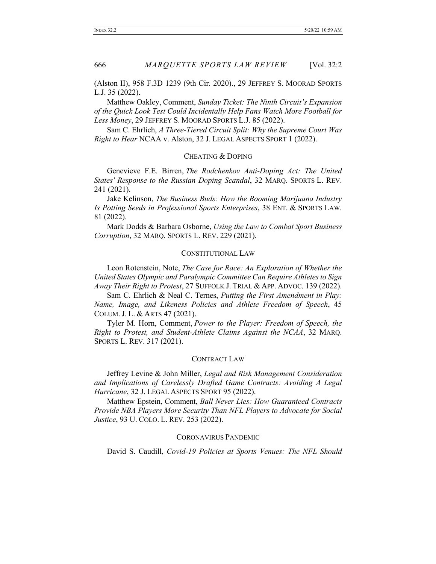(Alston II), 958 F.3D 1239 (9th Cir. 2020)., 29 JEFFREY S. MOORAD SPORTS L.J. 35 (2022).

Matthew Oakley, Comment, *Sunday Ticket: The Ninth Circuit's Expansion of the Quick Look Test Could Incidentally Help Fans Watch More Football for Less Money*, 29 JEFFREY S. MOORAD SPORTS L.J. 85 (2022).

Sam C. Ehrlich, *A Three-Tiered Circuit Split: Why the Supreme Court Was Right to Hear* NCAA v. Alston, 32 J. LEGAL ASPECTS SPORT 1 (2022).

#### CHEATING & DOPING

Genevieve F.E. Birren, *The Rodchenkov Anti-Doping Act: The United States' Response to the Russian Doping Scandal*, 32 MARQ. SPORTS L. REV. 241 (2021).

Jake Kelinson, *The Business Buds: How the Booming Marijuana Industry Is Potting Seeds in Professional Sports Enterprises*, 38 ENT. & SPORTS LAW. 81 (2022).

Mark Dodds & Barbara Osborne, *Using the Law to Combat Sport Business Corruption*, 32 MARQ. SPORTS L. REV. 229 (2021).

#### CONSTITUTIONAL LAW

Leon Rotenstein, Note, *The Case for Race: An Exploration of Whether the United States Olympic and Paralympic Committee Can Require Athletes to Sign Away Their Right to Protest*, 27 SUFFOLK J. TRIAL & APP. ADVOC. 139 (2022).

Sam C. Ehrlich & Neal C. Ternes, *Putting the First Amendment in Play: Name, Image, and Likeness Policies and Athlete Freedom of Speech*, 45 COLUM. J. L. & ARTS 47 (2021).

Tyler M. Horn, Comment, *Power to the Player: Freedom of Speech, the Right to Protest, and Student-Athlete Claims Against the NCAA*, 32 MARQ. SPORTS L. REV. 317 (2021).

#### CONTRACT LAW

Jeffrey Levine & John Miller, *Legal and Risk Management Consideration and Implications of Carelessly Drafted Game Contracts: Avoiding A Legal Hurricane*, 32 J. LEGAL ASPECTS SPORT 95 (2022).

Matthew Epstein, Comment, *Ball Never Lies: How Guaranteed Contracts Provide NBA Players More Security Than NFL Players to Advocate for Social Justice*, 93 U. COLO. L. REV. 253 (2022).

#### CORONAVIRUS PANDEMIC

David S. Caudill, *Covid-19 Policies at Sports Venues: The NFL Should*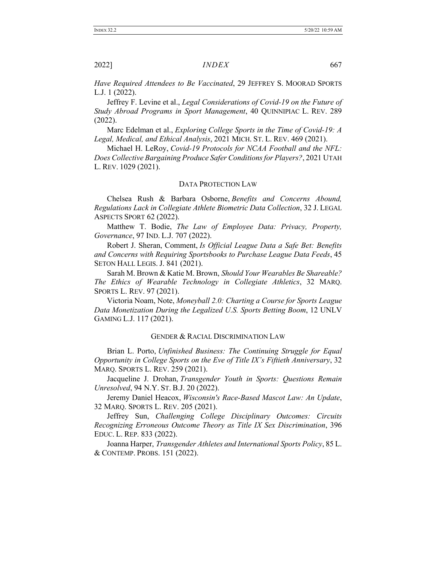*Have Required Attendees to Be Vaccinated*, 29 JEFFREY S. MOORAD SPORTS L.J. 1 (2022).

Jeffrey F. Levine et al., *Legal Considerations of Covid-19 on the Future of Study Abroad Programs in Sport Management*, 40 QUINNIPIAC L. REV. 289 (2022).

Marc Edelman et al., *Exploring College Sports in the Time of Covid-19: A Legal, Medical, and Ethical Analysis*, 2021 MICH. ST. L. REV. 469 (2021).

Michael H. LeRoy, *Covid-19 Protocols for NCAA Football and the NFL: Does Collective Bargaining Produce Safer Conditionsfor Players?*, 2021 UTAH L. REV. 1029 (2021).

#### DATA PROTECTION LAW

Chelsea Rush & Barbara Osborne, *Benefits and Concerns Abound, Regulations Lack in Collegiate Athlete Biometric Data Collection*, 32 J. LEGAL ASPECTS SPORT 62 (2022).

Matthew T. Bodie, *The Law of Employee Data: Privacy, Property, Governance*, 97 IND. L.J. 707 (2022).

Robert J. Sheran, Comment, *Is Official League Data a Safe Bet: Benefits and Concerns with Requiring Sportsbooks to Purchase League Data Feeds*, 45 SETON HALL LEGIS. J. 841 (2021).

Sarah M. Brown & Katie M. Brown, *Should Your Wearables Be Shareable? The Ethics of Wearable Technology in Collegiate Athletics*, 32 MARQ. SPORTS L. REV. 97 (2021).

Victoria Noam, Note, *Moneyball 2.0: Charting a Course for Sports League Data Monetization During the Legalized U.S. Sports Betting Boom*, 12 UNLV GAMING L.J. 117 (2021).

#### GENDER & RACIAL DISCRIMINATION LAW

Brian L. Porto, *Unfinished Business: The Continuing Struggle for Equal Opportunity in College Sports on the Eve of Title IX's Fiftieth Anniversary*, 32 MARQ. SPORTS L. REV. 259 (2021).

Jacqueline J. Drohan, *Transgender Youth in Sports: Questions Remain Unresolved*, 94 N.Y. ST. B.J. 20 (2022).

Jeremy Daniel Heacox, *Wisconsin's Race-Based Mascot Law: An Update*, 32 MARQ. SPORTS L. REV. 205 (2021).

Jeffrey Sun, *Challenging College Disciplinary Outcomes: Circuits Recognizing Erroneous Outcome Theory as Title IX Sex Discrimination*, 396 EDUC. L. REP. 833 (2022).

Joanna Harper, *Transgender Athletes and International Sports Policy*, 85 L. & CONTEMP. PROBS. 151 (2022).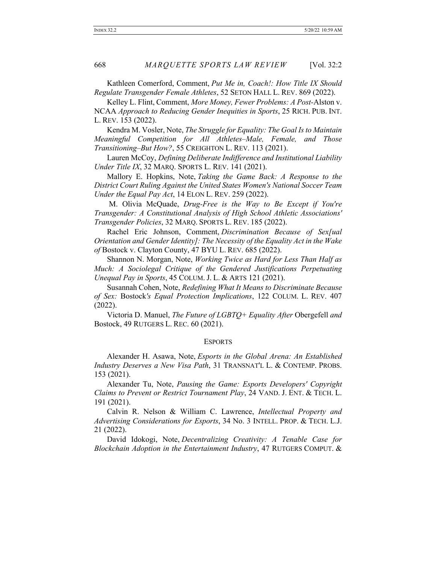Kathleen Comerford, Comment, *Put Me in, Coach!: How Title IX Should Regulate Transgender Female Athletes*, 52 SETON HALL L. REV. 869 (2022).

Kelley L. Flint, Comment, *More Money, Fewer Problems: A Post-*Alston v. NCAA *Approach to Reducing Gender Inequities in Sports*, 25 RICH. PUB. INT. L. REV. 153 (2022).

Kendra M. Vosler, Note, *The Struggle for Equality: The Goal Is to Maintain Meaningful Competition for All Athletes–Male, Female, and Those Transitioning–But How?*, 55 CREIGHTON L. REV. 113 (2021).

Lauren McCoy, *Defining Deliberate Indifference and Institutional Liability Under Title IX*, 32 MARQ. SPORTS L. REV. 141 (2021).

Mallory E. Hopkins, Note, *Taking the Game Back: A Response to the District Court Ruling Against the United States Women's National Soccer Team Under the Equal Pay Act*, 14 ELON L. REV. 259 (2022).

M. Olivia McQuade, *Drug-Free is the Way to Be Except if You're Transgender: A Constitutional Analysis of High School Athletic Associations' Transgender Policies*, 32 MARQ. SPORTS L. REV. 185 (2022).

Rachel Eric Johnson, Comment, *Discrimination Because of Sex[ual Orientation and Gender Identity]: The Necessity of the Equality Act in the Wake of* Bostock v. Clayton County, 47 BYU L. REV. 685 (2022).

Shannon N. Morgan, Note, *Working Twice as Hard for Less Than Half as Much: A Sociolegal Critique of the Gendered Justifications Perpetuating Unequal Pay in Sports*, 45 COLUM. J. L. & ARTS 121 (2021).

Susannah Cohen, Note, *Redefining What It Means to Discriminate Because of Sex:* Bostock*'s Equal Protection Implications*, 122 COLUM. L. REV. 407 (2022).

Victoria D. Manuel, *The Future of LGBTQ+ Equality After* Obergefell *and* Bostock, 49 RUTGERS L. REC. 60 (2021).

#### ESPORTS

Alexander H. Asawa, Note, *Esports in the Global Arena: An Established Industry Deserves a New Visa Path*, 31 TRANSNAT'L L. & CONTEMP. PROBS. 153 (2021).

Alexander Tu, Note, *Pausing the Game: Esports Developers' Copyright Claims to Prevent or Restrict Tournament Play*, 24 VAND. J. ENT. & TECH. L. 191 (2021).

Calvin R. Nelson & William C. Lawrence, *Intellectual Property and Advertising Considerations for Esports*, 34 No. 3 INTELL. PROP. & TECH. L.J. 21 (2022).

David Idokogi, Note, *Decentralizing Creativity: A Tenable Case for Blockchain Adoption in the Entertainment Industry*, 47 RUTGERS COMPUT. &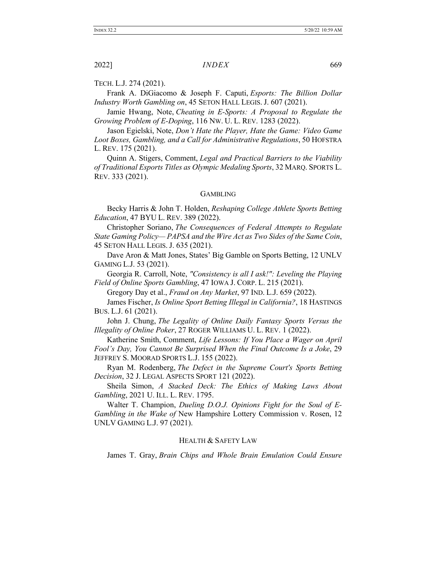TECH. L.J. 274 (2021).

Frank A. DiGiacomo & Joseph F. Caputi, *Esports: The Billion Dollar Industry Worth Gambling on*, 45 SETON HALL LEGIS. J. 607 (2021).

Jamie Hwang, Note, *Cheating in E-Sports: A Proposal to Regulate the Growing Problem of E-Doping*, 116 NW. U. L. REV. 1283 (2022).

Jason Egielski, Note, *Don't Hate the Player, Hate the Game: Video Game Loot Boxes, Gambling, and a Call for Administrative Regulations*, 50 HOFSTRA L. REV. 175 (2021).

Quinn A. Stigers, Comment, *Legal and Practical Barriers to the Viability of Traditional Esports Titles as Olympic Medaling Sports*, 32 MARQ. SPORTS L. REV. 333 (2021).

#### GAMBLING

Becky Harris & John T. Holden, *Reshaping College Athlete Sports Betting Education*, 47 BYU L. REV. 389 (2022).

Christopher Soriano, *The Consequences of Federal Attempts to Regulate State Gaming Policy— PAPSA and the Wire Act as Two Sides of the Same Coin*, 45 SETON HALL LEGIS. J. 635 (2021).

Dave Aron & Matt Jones, States' Big Gamble on Sports Betting, 12 UNLV GAMING L.J. 53 (2021).

Georgia R. Carroll, Note, *"Consistency is all I ask!": Leveling the Playing Field of Online Sports Gambling*, 47 IOWA J. CORP. L. 215 (2021).

Gregory Day et al., *Fraud on Any Market*, 97 IND. L.J. 659 (2022).

James Fischer, *Is Online Sport Betting Illegal in California?*, 18 HASTINGS BUS. L.J. 61 (2021).

John J. Chung, *The Legality of Online Daily Fantasy Sports Versus the Illegality of Online Poker*, 27 ROGER WILLIAMS U. L. REV. 1 (2022).

Katherine Smith, Comment, *Life Lessons: If You Place a Wager on April Fool's Day, You Cannot Be Surprised When the Final Outcome Is a Joke*, 29 JEFFREY S. MOORAD SPORTS L.J. 155 (2022).

Ryan M. Rodenberg, *The Defect in the Supreme Court's Sports Betting Decision*, 32 J. LEGAL ASPECTS SPORT 121 (2022).

Sheila Simon, *A Stacked Deck: The Ethics of Making Laws About Gambling*, 2021 U. ILL. L. REV. 1795.

Walter T. Champion, *Dueling D.O.J. Opinions Fight for the Soul of E-Gambling in the Wake of* New Hampshire Lottery Commission v. Rosen, 12 UNLV GAMING L.J. 97 (2021).

#### HEALTH & SAFETY LAW

James T. Gray, *Brain Chips and Whole Brain Emulation Could Ensure*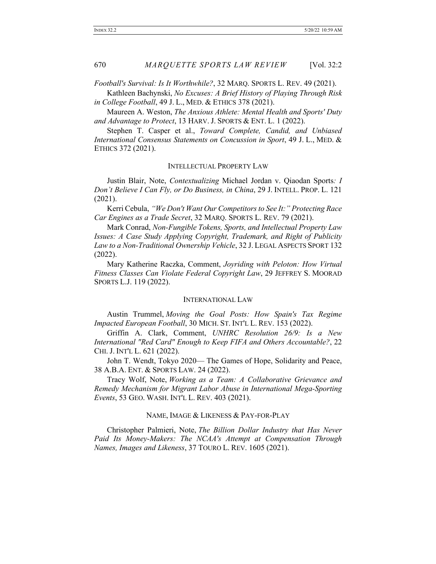*Football's Survival: Is It Worthwhile?*, 32 MARQ. SPORTS L. REV. 49 (2021).

Kathleen Bachynski, *No Excuses: A Brief History of Playing Through Risk in College Football*, 49 J. L., MED. & ETHICS 378 (2021).

Maureen A. Weston, *The Anxious Athlete: Mental Health and Sports' Duty and Advantage to Protect*, 13 HARV. J. SPORTS & ENT. L. 1 (2022).

Stephen T. Casper et al., *Toward Complete, Candid, and Unbiased International Consensus Statements on Concussion in Sport*, 49 J. L., MED. & ETHICS 372 (2021).

#### INTELLECTUAL PROPERTY LAW

Justin Blair, Note, *Contextualizing* Michael Jordan v. Qiaodan Sports*: I Don't Believe I Can Fly, or Do Business, in China*, 29 J. INTELL. PROP. L. 121 (2021).

Kerri Cebula, *"We Don't Want Our Competitorsto See It:" Protecting Race Car Engines as a Trade Secret*, 32 MARQ. SPORTS L. REV. 79 (2021).

Mark Conrad, *Non-Fungible Tokens, Sports, and Intellectual Property Law Issues: A Case Study Applying Copyright, Trademark, and Right of Publicity Law to a Non-Traditional Ownership Vehicle*, 32 J. LEGAL ASPECTS SPORT 132 (2022).

Mary Katherine Raczka, Comment, *Joyriding with Peloton: How Virtual Fitness Classes Can Violate Federal Copyright Law*, 29 JEFFREY S. MOORAD SPORTS L.J. 119 (2022).

#### INTERNATIONAL LAW

Austin Trummel, *Moving the Goal Posts: How Spain's Tax Regime Impacted European Football*, 30 MICH. ST. INT'L L. REV. 153 (2022).

Griffin A. Clark, Comment, *UNHRC Resolution 26/9: Is a New International "Red Card" Enough to Keep FIFA and Others Accountable?*, 22 CHI. J. INT'L L. 621 (2022).

John T. Wendt, Tokyo 2020— The Games of Hope, Solidarity and Peace, 38 A.B.A. ENT. & SPORTS LAW. 24 (2022).

Tracy Wolf, Note, *Working as a Team: A Collaborative Grievance and Remedy Mechanism for Migrant Labor Abuse in International Mega-Sporting Events*, 53 GEO. WASH. INT'L L. REV. 403 (2021).

#### NAME, IMAGE & LIKENESS & PAY-FOR-PLAY

Christopher Palmieri, Note, *The Billion Dollar Industry that Has Never Paid Its Money-Makers: The NCAA's Attempt at Compensation Through Names, Images and Likeness*, 37 TOURO L. REV. 1605 (2021).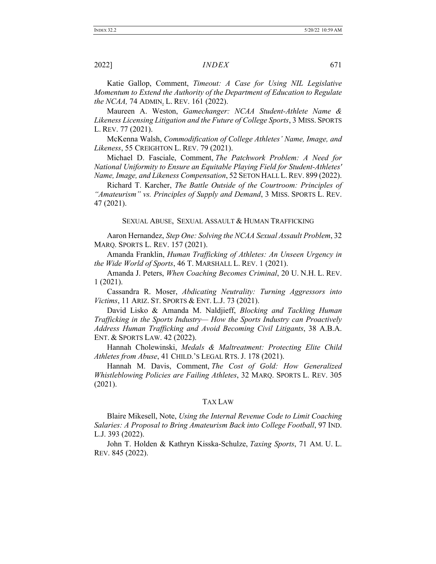Katie Gallop, Comment, *Timeout: A Case for Using NIL Legislative Momentum to Extend the Authority of the Department of Education to Regulate the NCAA,* 74 ADMIN. L. REV. 161 (2022).

Maureen A. Weston, *Gamechanger: NCAA Student-Athlete Name & Likeness Licensing Litigation and the Future of College Sports*, 3 MISS. SPORTS L. REV. 77 (2021).

McKenna Walsh, *Commodification of College Athletes' Name, Image, and Likeness*, 55 CREIGHTON L. REV. 79 (2021).

Michael D. Fasciale, Comment, *The Patchwork Problem: A Need for National Uniformity to Ensure an Equitable Playing Field for Student-Athletes' Name, Image, and Likeness Compensation*, 52 SETON HALL L.REV. 899 (2022).

Richard T. Karcher, *The Battle Outside of the Courtroom: Principles of "Amateurism" vs. Principles of Supply and Demand*, 3 MISS. SPORTS L. REV. 47 (2021).

#### SEXUAL ABUSE, SEXUAL ASSAULT & HUMAN TRAFFICKING

Aaron Hernandez, *Step One: Solving the NCAA Sexual Assault Problem*, 32 MARQ. SPORTS L. REV. 157 (2021).

Amanda Franklin, *Human Trafficking of Athletes: An Unseen Urgency in the Wide World of Sports*, 46 T. MARSHALL L. REV. 1 (2021).

Amanda J. Peters, *When Coaching Becomes Criminal*, 20 U. N.H. L. REV. 1 (2021).

Cassandra R. Moser, *Abdicating Neutrality: Turning Aggressors into Victims*, 11 ARIZ. ST. SPORTS & ENT. L.J. 73 (2021).

David Lisko & Amanda M. Naldjieff, *Blocking and Tackling Human Trafficking in the Sports Industry— How the Sports Industry can Proactively Address Human Trafficking and Avoid Becoming Civil Litigants*, 38 A.B.A. ENT. & SPORTS LAW. 42 (2022).

Hannah Cholewinski, *Medals & Maltreatment: Protecting Elite Child Athletes from Abuse*, 41 CHILD.'S LEGAL RTS. J. 178 (2021).

Hannah M. Davis, Comment, *The Cost of Gold: How Generalized Whistleblowing Policies are Failing Athletes*, 32 MARQ. SPORTS L. REV. 305 (2021).

#### TAX LAW

Blaire Mikesell, Note, *Using the Internal Revenue Code to Limit Coaching Salaries: A Proposal to Bring Amateurism Back into College Football*, 97 IND. L.J. 393 (2022).

John T. Holden & Kathryn Kisska-Schulze, *Taxing Sports*, 71 AM. U. L. REV. 845 (2022).